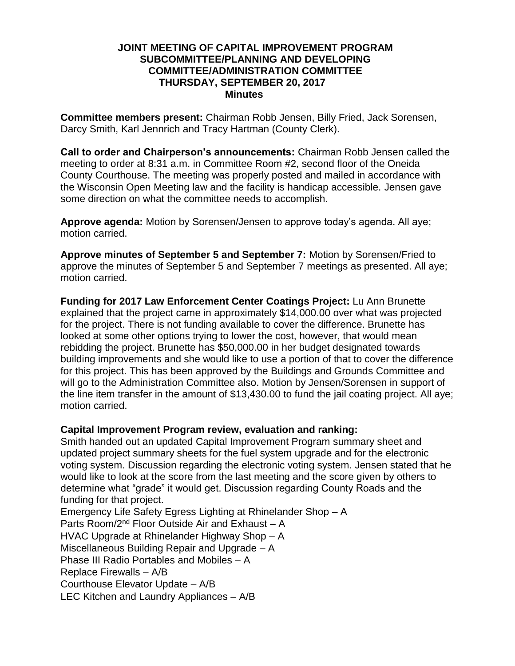## **JOINT MEETING OF CAPITAL IMPROVEMENT PROGRAM SUBCOMMITTEE/PLANNING AND DEVELOPING COMMITTEE/ADMINISTRATION COMMITTEE THURSDAY, SEPTEMBER 20, 2017 Minutes**

**Committee members present:** Chairman Robb Jensen, Billy Fried, Jack Sorensen, Darcy Smith, Karl Jennrich and Tracy Hartman (County Clerk).

**Call to order and Chairperson's announcements:** Chairman Robb Jensen called the meeting to order at 8:31 a.m. in Committee Room #2, second floor of the Oneida County Courthouse. The meeting was properly posted and mailed in accordance with the Wisconsin Open Meeting law and the facility is handicap accessible. Jensen gave some direction on what the committee needs to accomplish.

**Approve agenda:** Motion by Sorensen/Jensen to approve today's agenda. All aye; motion carried.

**Approve minutes of September 5 and September 7:** Motion by Sorensen/Fried to approve the minutes of September 5 and September 7 meetings as presented. All aye; motion carried.

**Funding for 2017 Law Enforcement Center Coatings Project:** Lu Ann Brunette explained that the project came in approximately \$14,000.00 over what was projected for the project. There is not funding available to cover the difference. Brunette has looked at some other options trying to lower the cost, however, that would mean rebidding the project. Brunette has \$50,000.00 in her budget designated towards building improvements and she would like to use a portion of that to cover the difference for this project. This has been approved by the Buildings and Grounds Committee and will go to the Administration Committee also. Motion by Jensen/Sorensen in support of the line item transfer in the amount of \$13,430.00 to fund the jail coating project. All aye; motion carried.

# **Capital Improvement Program review, evaluation and ranking:**

Smith handed out an updated Capital Improvement Program summary sheet and updated project summary sheets for the fuel system upgrade and for the electronic voting system. Discussion regarding the electronic voting system. Jensen stated that he would like to look at the score from the last meeting and the score given by others to determine what "grade" it would get. Discussion regarding County Roads and the funding for that project.

Emergency Life Safety Egress Lighting at Rhinelander Shop – A Parts Room/2nd Floor Outside Air and Exhaust – A HVAC Upgrade at Rhinelander Highway Shop – A Miscellaneous Building Repair and Upgrade – A Phase III Radio Portables and Mobiles – A Replace Firewalls – A/B Courthouse Elevator Update – A/B LEC Kitchen and Laundry Appliances – A/B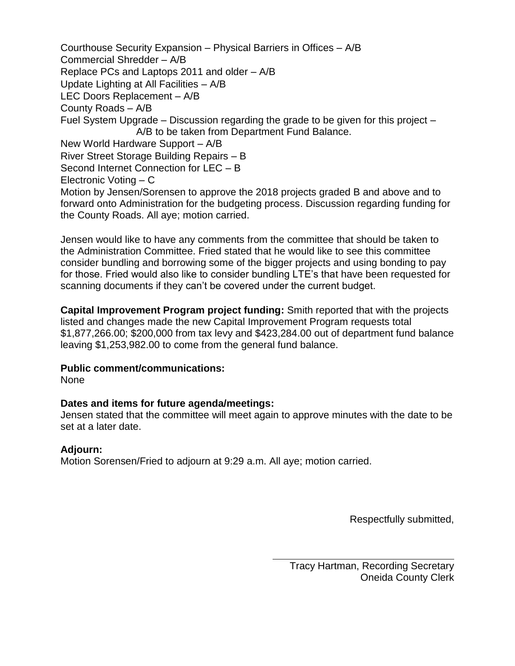Courthouse Security Expansion – Physical Barriers in Offices – A/B Commercial Shredder – A/B Replace PCs and Laptops 2011 and older – A/B Update Lighting at All Facilities – A/B LEC Doors Replacement – A/B County Roads – A/B Fuel System Upgrade – Discussion regarding the grade to be given for this project – A/B to be taken from Department Fund Balance. New World Hardware Support – A/B River Street Storage Building Repairs – B Second Internet Connection for LEC – B Electronic Voting – C Motion by Jensen/Sorensen to approve the 2018 projects graded B and above and to forward onto Administration for the budgeting process. Discussion regarding funding for the County Roads. All aye; motion carried.

Jensen would like to have any comments from the committee that should be taken to the Administration Committee. Fried stated that he would like to see this committee consider bundling and borrowing some of the bigger projects and using bonding to pay for those. Fried would also like to consider bundling LTE's that have been requested for scanning documents if they can't be covered under the current budget.

**Capital Improvement Program project funding:** Smith reported that with the projects listed and changes made the new Capital Improvement Program requests total \$1,877,266.00; \$200,000 from tax levy and \$423,284.00 out of department fund balance leaving \$1,253,982.00 to come from the general fund balance.

# **Public comment/communications:**

None

# **Dates and items for future agenda/meetings:**

Jensen stated that the committee will meet again to approve minutes with the date to be set at a later date.

# **Adjourn:**

Motion Sorensen/Fried to adjourn at 9:29 a.m. All aye; motion carried.

Respectfully submitted,